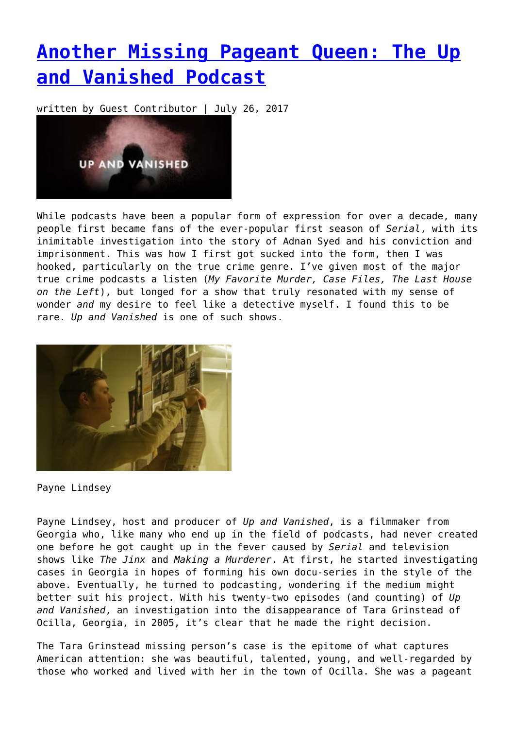## **[Another Missing Pageant Queen: The Up](https://entropymag.org/another-missing-pageant-queen-the-up-and-vanished-podcast/) [and Vanished Podcast](https://entropymag.org/another-missing-pageant-queen-the-up-and-vanished-podcast/)**

written by Guest Contributor | July 26, 2017



While podcasts have been a popular form of expression for over a decade, many people first became fans of the ever-popular first season of *Serial*, with its inimitable investigation into the story of Adnan Syed and his conviction and imprisonment. This was how I first got sucked into the form, then I was hooked, particularly on the true crime genre. I've given most of the major true crime podcasts a listen (*My Favorite Murder, Case Files, The Last House on the Left*), but longed for a show that truly resonated with my sense of wonder *and* my desire to feel like a detective myself. I found this to be rare. *Up and Vanished* is one of such shows.



Payne Lindsey

Payne Lindsey, host and producer of *Up and Vanished*, is a filmmaker from Georgia who, like many who end up in the field of podcasts, had never created one before he got caught up in the fever caused by *Serial* and television shows like *The Jinx* and *Making a Murderer*. At first, he started investigating cases in Georgia in hopes of forming his own docu-series in the style of the above. Eventually, he turned to podcasting, wondering if the medium might better suit his project. With his twenty-two episodes (and counting) of *Up and Vanished*, an investigation into the disappearance of Tara Grinstead of Ocilla, Georgia, in 2005, it's clear that he made the right decision.

The Tara Grinstead missing person's case is the epitome of what captures American attention: she was beautiful, talented, young, and well-regarded by those who worked and lived with her in the town of Ocilla. She was a pageant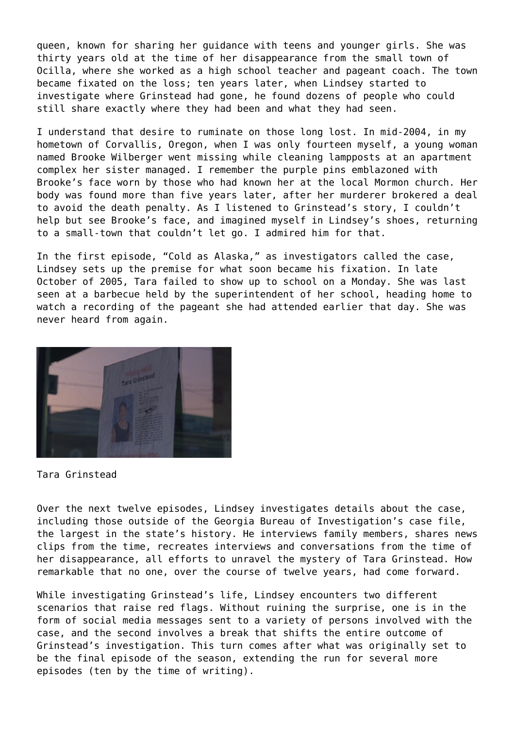queen, known for sharing her guidance with teens and younger girls. She was thirty years old at the time of her disappearance from the small town of Ocilla, where she worked as a high school teacher and pageant coach. The town became fixated on the loss; ten years later, when Lindsey started to investigate where Grinstead had gone, he found dozens of people who could still share exactly where they had been and what they had seen.

I understand that desire to ruminate on those long lost. In mid-2004, in my hometown of Corvallis, Oregon, when I was only fourteen myself, a young woman named Brooke Wilberger went missing while cleaning lampposts at an apartment complex her sister managed. I remember the purple pins emblazoned with Brooke's face worn by those who had known her at the local Mormon church. Her body was found more than five years later, after her murderer brokered a deal to avoid the death penalty. As I listened to Grinstead's story, I couldn't help but see Brooke's face, and imagined myself in Lindsey's shoes, returning to a small-town that couldn't let go. I admired him for that.

In the first episode, "Cold as Alaska," as investigators called the case, Lindsey sets up the premise for what soon became his fixation. In late October of 2005, Tara failed to show up to school on a Monday. She was last seen at a barbecue held by the superintendent of her school, heading home to watch a recording of the pageant she had attended earlier that day. She was never heard from again.



Tara Grinstead

Over the next twelve episodes, Lindsey investigates details about the case, including those outside of the Georgia Bureau of Investigation's case file, the largest in the state's history. He interviews family members, shares news clips from the time, recreates interviews and conversations from the time of her disappearance, all efforts to unravel the mystery of Tara Grinstead. How remarkable that no one, over the course of twelve years, had come forward.

While investigating Grinstead's life, Lindsey encounters two different scenarios that raise red flags. Without ruining the surprise, one is in the form of social media messages sent to a variety of persons involved with the case, and the second involves a break that shifts the entire outcome of Grinstead's investigation. This turn comes after what was originally set to be the final episode of the season, extending the run for several more episodes (ten by the time of writing).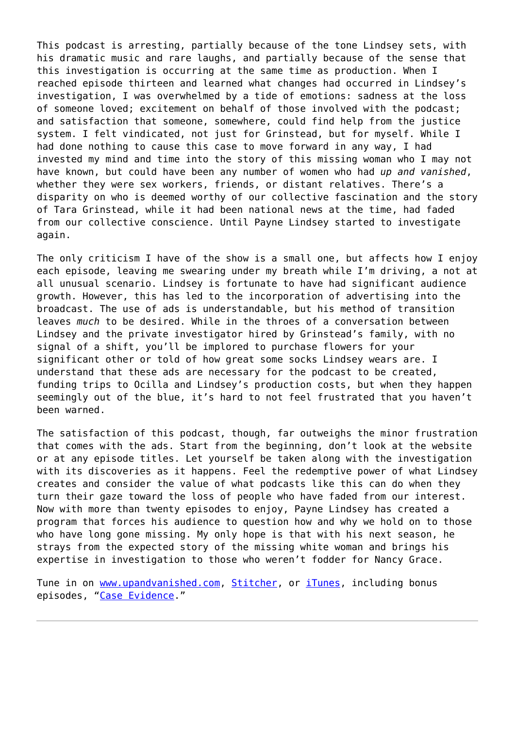This podcast is arresting, partially because of the tone Lindsey sets, with his dramatic music and rare laughs, and partially because of the sense that this investigation is occurring at the same time as production. When I reached episode thirteen and learned what changes had occurred in Lindsey's investigation, I was overwhelmed by a tide of emotions: sadness at the loss of someone loved; excitement on behalf of those involved with the podcast; and satisfaction that someone, somewhere, could find help from the justice system. I felt vindicated, not just for Grinstead, but for myself. While I had done nothing to cause this case to move forward in any way, I had invested my mind and time into the story of this missing woman who I may not have known, but could have been any number of women who had *up and vanished*, whether they were sex workers, friends, or distant relatives. There's a disparity on who is deemed worthy of our collective fascination and the story of Tara Grinstead, while it had been national news at the time, had faded from our collective conscience. Until Payne Lindsey started to investigate again.

The only criticism I have of the show is a small one, but affects how I enjoy each episode, leaving me swearing under my breath while I'm driving, a not at all unusual scenario. Lindsey is fortunate to have had significant audience growth. However, this has led to the incorporation of advertising into the broadcast. The use of ads is understandable, but his method of transition leaves *much* to be desired. While in the throes of a conversation between Lindsey and the private investigator hired by Grinstead's family, with no signal of a shift, you'll be implored to purchase flowers for your significant other or told of how great some socks Lindsey wears are. I understand that these ads are necessary for the podcast to be created, funding trips to Ocilla and Lindsey's production costs, but when they happen seemingly out of the blue, it's hard to not feel frustrated that you haven't been warned.

The satisfaction of this podcast, though, far outweighs the minor frustration that comes with the ads. Start from the beginning, don't look at the website or at any episode titles. Let yourself be taken along with the investigation with its discoveries as it happens. Feel the redemptive power of what Lindsey creates and consider the value of what podcasts like this can do when they turn their gaze toward the loss of people who have faded from our interest. Now with more than twenty episodes to enjoy, Payne Lindsey has created a program that forces his audience to question how and why we hold on to those who have long gone missing. My only hope is that with his next season, he strays from the expected story of the missing white woman and brings his expertise in investigation to those who weren't fodder for Nancy Grace.

Tune in on [www.upandvanished.com](http://www.upandvanished.com), [Stitcher,](http://www.stitcher.com/podcast/up-and-vanished) or *[iTunes](https://itunes.apple.com/us/podcast/up-and-vanished/id1140596919?mt=2)*, including bonus episodes, ["Case Evidence](http://www.upandvanished.com/case-evidence)."